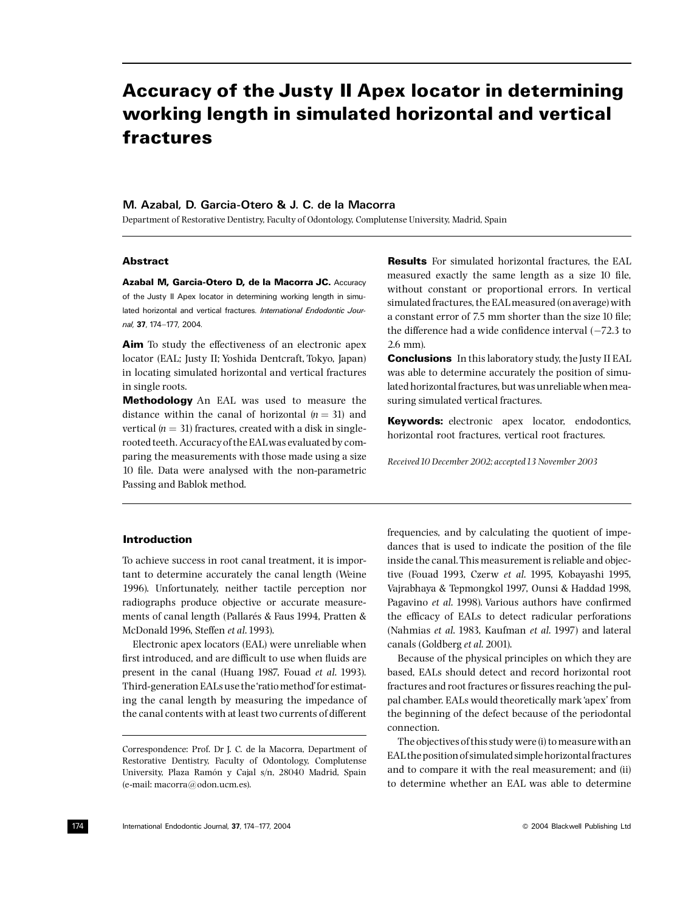# **Accuracy of the Justy II Apex locator in determining** working length in simulated horizontal and vertical fractures

# M. Azabal, D. Garcia-Otero & J. C. de la Macorra

Department of Restorative Dentistry, Faculty of Odontology, Complutense University, Madrid, Spain

# **Abstract**

Azabal M. Garcia-Otero D. de la Macorra JC. Accuracy of the Justy II Apex locator in determining working length in simulated horizontal and vertical fractures *International Endodontic Jour*nal, 37. 174-177 2004

Aim To study the effectiveness of an electronic apex locator (EAL; Justy II; Yoshida Dentcraft, Tokyo, Japan) in locating simulated horizontal and vertical fractures in single roots.

Methodology An EAL was used to measure the distance within the canal of horizontal  $(n = 31)$  and vertical ( $n = 31$ ) fractures, created with a disk in singlerooted teeth. Accuracy of the EAL was evaluated by comparing the measurements with those made using a size 10 file. Data were analysed with the non-parametric Passing and Bablok method.

# **Results** For simulated horizontal fractures, the EAL measured exactly the same length as a size 10 file, without constant or proportional errors. In vertical simulated fractures, the EAL measured (on average) with a constant error of 7.5 mm shorter than the size 10 file: the difference had a wide confidence interval  $(-72.3)$  to  $26$  mm)

**Conclusions** In this laboratory study, the Justy II EAL was able to determine accurately the position of simulated horizontal fractures, but was unreliable when measuring simulated vertical fractures.

**Keywords:** electronic apex locator, endodontics, horizontal root fractures, vertical root fractures.

Received 10 December 2002; accepted 13 November 2003

#### **Introduction**

To achieve success in root canal treatment, it is important to determine accurately the canal length (Weine 1996). Unfortunately, neither tactile perception nor radiographs produce objective or accurate measurements of canal length (Pallarés & Faus 1994, Pratten & McDonald 1996, Steffen et al. 1993).

Electronic apex locators (EAL) were unreliable when first introduced, and are difficult to use when fluids are present in the canal (Huang 1987, Fouad et al. 1993). Third-generation EALs use the 'ratio method' for estimating the canal length by measuring the impedance of the canal contents with at least two currents of different frequencies, and by calculating the quotient of impedances that is used to indicate the position of the file inside the canal. This measurement is reliable and objective (Fouad 1993, Czerw et al. 1995, Kobayashi 1995, Vajrabhaya & Tepmongkol 1997, Ounsi & Haddad 1998, Pagavino et al. 1998). Various authors have confirmed the efficacy of EALs to detect radicular perforations (Nahmias et al. 1983, Kaufman et al. 1997) and lateral canals (Goldberg et al. 2001).

Because of the physical principles on which they are based, EALs should detect and record horizontal root fractures and root fractures or fissures reaching the pulpal chamber. EALs would theoretically mark 'apex' from the beginning of the defect because of the periodontal connection

The objectives of this study were (i) to measure with an EAL the position of simulated simple horizontal fractures and to compare it with the real measurement: and (ii) to determine whether an EAL was able to determine

Correspondence: Prof. Dr J. C. de la Macorra, Department of Restorative Dentistry, Faculty of Odontology, Complutense University, Plaza Ramón y Cajal s/n, 28040 Madrid, Spain (e-mail: macorra@odon.ucm.es).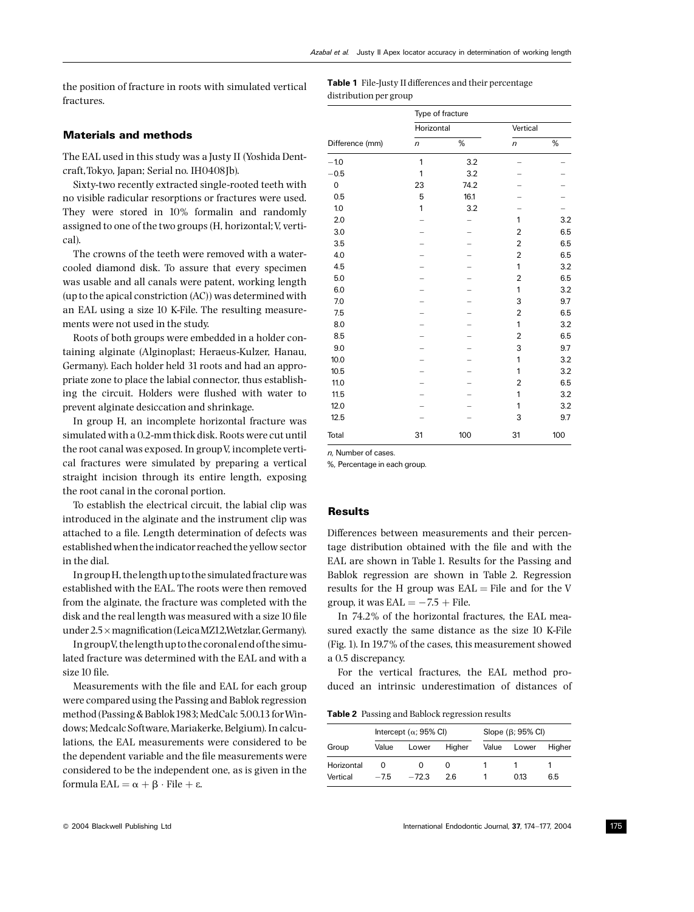the position of fracture in roots with simulated vertical fractures.

Table 1 File-Justy II differences and their percentage distribution per group

### **Materials and methods**

The EAL used in this study was a Justy II (Yoshida Dentcraft, Tokyo, Japan; Serial no. IH0408Jb).

Sixty-two recently extracted single-rooted teeth with no visible radicular resorptions or fractures were used. They were stored in 10% formalin and randomly assigned to one of the two groups (H, horizontal; V, vertical).

The crowns of the teeth were removed with a watercooled diamond disk. To assure that every specimen was usable and all canals were patent, working length (up to the apical constriction (AC)) was determined with an EAL using a size 10 K-File. The resulting measurements were not used in the study.

Roots of both groups were embedded in a holder containing alginate (Alginoplast; Heraeus-Kulzer, Hanau, Germany). Each holder held 31 roots and had an appropriate zone to place the labial connector, thus establishing the circuit. Holders were flushed with water to prevent alginate desiccation and shrinkage.

In group H, an incomplete horizontal fracture was simulated with a 0.2-mm thick disk. Roots were cut until the root canal was exposed. In group V, incomplete vertical fractures were simulated by preparing a vertical straight incision through its entire length, exposing the root canal in the coronal portion.

To establish the electrical circuit, the labial clip was introduced in the alginate and the instrument clip was attached to a file. Length determination of defects was established when the indicator reached the yellow sector in the dial.

In group H, the length up to the simulated fracture was established with the EAL. The roots were then removed from the alginate, the fracture was completed with the disk and the real length was measured with a size 10 file under 2.5 x magnification (Leica MZ12, Wetzlar, Germany).

In groupV, the length up to the coronal end of the simulated fracture was determined with the EAL and with a size 10 file.

Measurements with the file and EAL for each group were compared using the Passing and Bablok regression method (Passing & Bablok 1983; MedCalc 5.00.13 for Windows; Medcalc Software, Mariakerke, Belgium). In calculations, the EAL measurements were considered to be the dependent variable and the file measurements were considered to be the independent one, as is given in the formula  $EAL = \alpha + \beta \cdot File + \epsilon$ .

| Difference (mm) | Type of fracture |      |                |      |  |  |
|-----------------|------------------|------|----------------|------|--|--|
|                 | Horizontal       |      | Vertical       |      |  |  |
|                 | $\sqrt{n}$       | %    | $\sqrt{n}$     | $\%$ |  |  |
| $-1.0$          | 1                | 3.2  |                |      |  |  |
| $-0.5$          | 1                | 3.2  |                |      |  |  |
| $\mathbf 0$     | 23               | 74.2 |                |      |  |  |
| 0.5             | 5                | 16.1 |                |      |  |  |
| 1.0             | 1                | 3.2  |                |      |  |  |
| 2.0             |                  |      | 1              | 3.2  |  |  |
| 3.0             |                  |      | $\overline{2}$ | 6.5  |  |  |
| 3.5             |                  |      | $\overline{2}$ | 6.5  |  |  |
| 4.0             |                  |      | $\overline{2}$ | 6.5  |  |  |
| 4.5             |                  |      | 1              | 3.2  |  |  |
| 5.0             |                  |      | $\overline{c}$ | 6.5  |  |  |
| 6.0             |                  |      | 1              | 3.2  |  |  |
| 7.0             |                  |      | 3              | 9.7  |  |  |
| 7.5             |                  |      | $\overline{2}$ | 6.5  |  |  |
| 8.0             |                  |      | 1              | 3.2  |  |  |
| 8.5             |                  |      | $\overline{2}$ | 6.5  |  |  |
| 9.0             |                  |      | 3              | 9.7  |  |  |
| 10.0            |                  |      | 1              | 3.2  |  |  |
| 10.5            |                  |      | 1              | 3.2  |  |  |
| 11.0            |                  |      | 2              | 6.5  |  |  |
| 11.5            |                  |      | 1              | 3.2  |  |  |
| 12.0            |                  |      | 1              | 3.2  |  |  |
| 12.5            |                  |      | 3              | 9.7  |  |  |
| Total           | 31               | 100  | 31             | 100  |  |  |

 $n$ . Number of cases

%, Percentage in each group

#### **Results**

Differences between measurements and their percentage distribution obtained with the file and with the EAL are shown in Table 1. Results for the Passing and Bablok regression are shown in Table 2. Regression results for the H group was  $EAL = File$  and for the V group, it was  $EAL = -7.5 +$  File.

In 74.2% of the horizontal fractures, the EAL measured exactly the same distance as the size 10 K-File (Fig. 1). In 19.7% of the cases, this measurement showed a 0.5 discrepancy.

For the vertical fractures, the EAL method produced an intrinsic underestimation of distances of

Table 2 Passing and Bablock regression results

|            | Intercept ( $\alpha$ ; 95% CI) |         |        | Slope $(\beta; 95\% \text{ Cl})$ |       |        |
|------------|--------------------------------|---------|--------|----------------------------------|-------|--------|
| Group      | Value                          | Lower   | Higher | Value                            | Lower | Hiaher |
| Horizontal |                                |         |        |                                  |       |        |
| Vertical   | $-75$                          | $-72.3$ | 26     |                                  | 0.13  | 6.5    |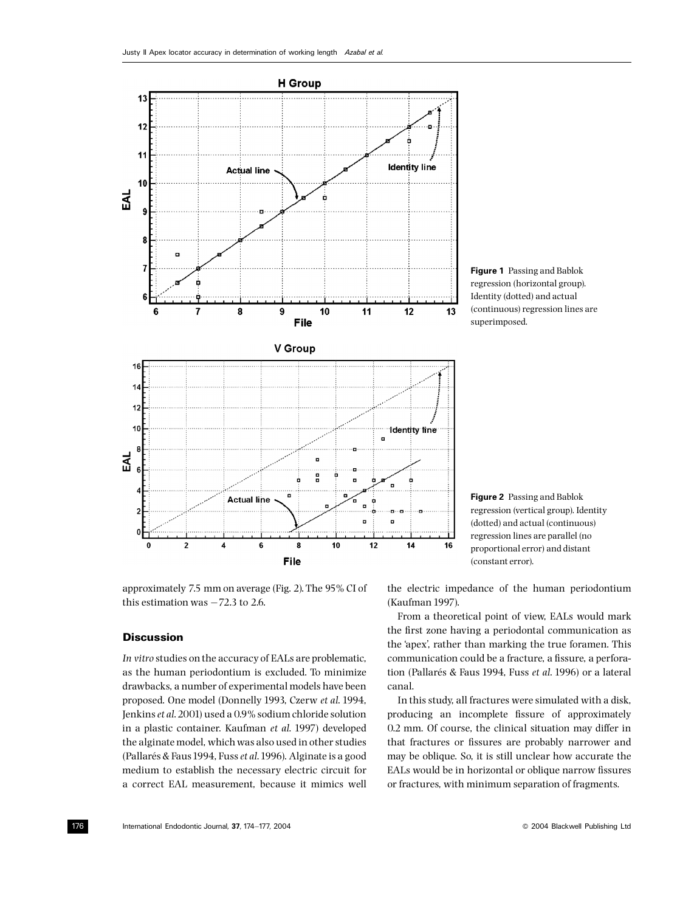

Figure 1 Passing and Bablok regression (horizontal group). Identity (dotted) and actual (continuous) regression lines are superimposed.

approximately 7.5 mm on average (Fig. 2). The 95% CI of this estimation was  $-72.3$  to 2.6.

#### **Discussion**

In vitro studies on the accuracy of EALs are problematic. as the human periodontium is excluded. To minimize drawbacks, a number of experimental models have been proposed. One model (Donnelly 1993, Czerw et al. 1994, Jenkins et al. 2001) used a 0.9% sodium chloride solution in a plastic container. Kaufman et al. 1997) developed the alginate model, which was also used in other studies (Pallarés & Faus 1994, Fuss et al. 1996). Alginate is a good medium to establish the necessary electric circuit for a correct EAL measurement, because it mimics well

Figure 2 Passing and Bablok regression (vertical group). Identity (dotted) and actual (continuous) regression lines are parallel (no proportional error) and distant (constant error).

the electric impedance of the human periodontium (Kaufman 1997).

From a theoretical point of view, EALs would mark the first zone having a periodontal communication as the 'apex', rather than marking the true foramen. This communication could be a fracture, a fissure, a perforation (Pallarés & Faus 1994, Fuss et al. 1996) or a lateral canal.

In this study, all fractures were simulated with a disk, producing an incomplete fissure of approximately 0.2 mm. Of course, the clinical situation may differ in that fractures or fissures are probably narrower and may be oblique. So, it is still unclear how accurate the EALs would be in horizontal or oblique narrow fissures or fractures, with minimum separation of fragments.